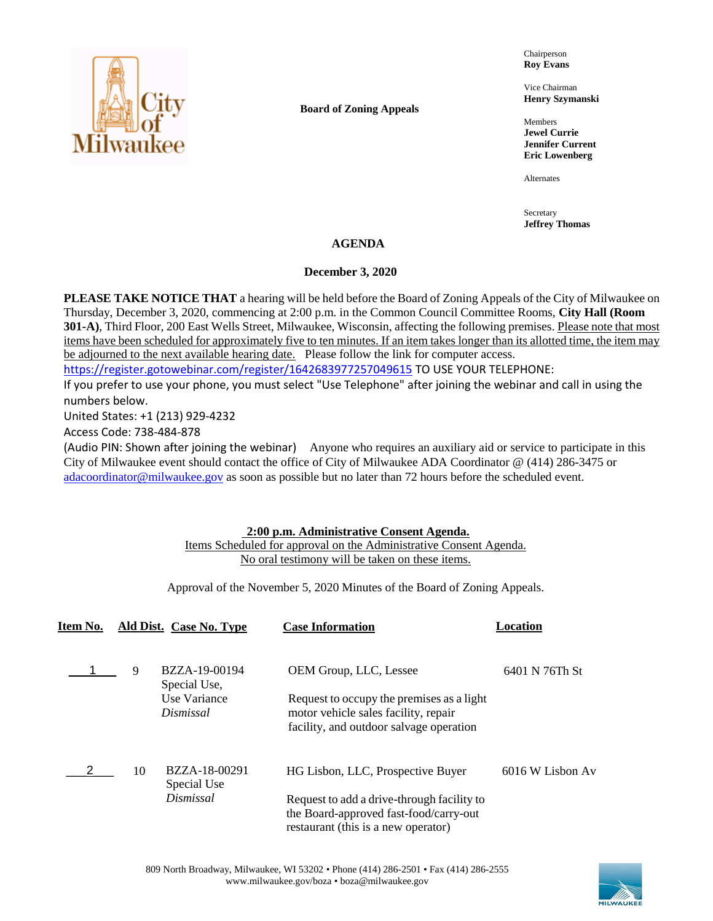

**Board of Zoning Appeals**

Chairperson **Roy Evans**

Vice Chairman **Henry Szymanski**

Members **Jewel Currie Jennifer Current Eric Lowenberg**

Alternates

Secretary **Jeffrey Thomas**

## **AGENDA**

### **December 3, 2020**

**PLEASE TAKE NOTICE THAT** a hearing will be held before the Board of Zoning Appeals of the City of Milwaukee on Thursday, December 3, 2020, commencing at 2:00 p.m. in the Common Council Committee Rooms, **City Hall (Room 301-A)**, Third Floor, 200 East Wells Street, Milwaukee, Wisconsin, affecting the following premises. Please note that most items have been scheduled for approximately five to ten minutes. If an item takes longer than its allotted time, the item may be adjourned to the next available hearing date. Please follow the link for computer access.

<https://register.gotowebinar.com/register/1642683977257049615> TO USE YOUR TELEPHONE:

If you prefer to use your phone, you must select "Use Telephone" after joining the webinar and call in using the numbers below.

United States: +1 (213) 929-4232

Access Code: 738-484-878

(Audio PIN: Shown after joining the webinar) Anyone who requires an auxiliary aid or service to participate in this City of Milwaukee event should contact the office of City of Milwaukee ADA Coordinator @ (414) 286-3475 or [adacoordinator@milwaukee.gov](mailto:adacoordinator@milwaukee.gov) as soon as possible but no later than 72 hours before the scheduled event.

## **2:00 p.m. Administrative Consent Agenda.**

Items Scheduled for approval on the Administrative Consent Agenda. No oral testimony will be taken on these items.

Approval of the November 5, 2020 Minutes of the Board of Zoning Appeals.

| Item No. |    | Ald Dist. Case No. Type       | <b>Case Information</b>                                                                                                      | <b>Location</b>  |
|----------|----|-------------------------------|------------------------------------------------------------------------------------------------------------------------------|------------------|
|          | 9  | BZZA-19-00194<br>Special Use, | OEM Group, LLC, Lessee                                                                                                       | 6401 N 76Th St   |
|          |    | Use Variance<br>Dismissal     | Request to occupy the premises as a light<br>motor vehicle sales facility, repair<br>facility, and outdoor salvage operation |                  |
|          | 10 | BZZA-18-00291<br>Special Use  | HG Lisbon, LLC, Prospective Buyer                                                                                            | 6016 W Lisbon Av |
|          |    | Dismissal                     | Request to add a drive-through facility to<br>the Board-approved fast-food/carry-out<br>restaurant (this is a new operator)  |                  |

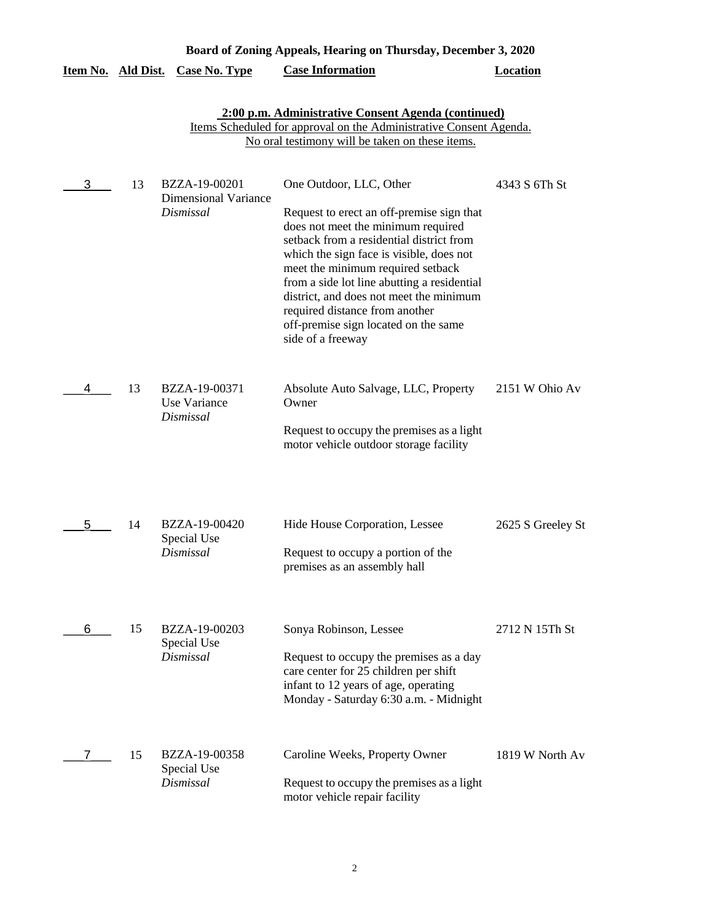| Board of Zoning Appeals, Hearing on Thursday, December 3, 2020 |    |                                                           |                                                                                                                                                                                                                                                                                                                                                                                                                                  |                   |
|----------------------------------------------------------------|----|-----------------------------------------------------------|----------------------------------------------------------------------------------------------------------------------------------------------------------------------------------------------------------------------------------------------------------------------------------------------------------------------------------------------------------------------------------------------------------------------------------|-------------------|
| Item No. Ald Dist.                                             |    | <b>Case No. Type</b>                                      | <b>Case Information</b>                                                                                                                                                                                                                                                                                                                                                                                                          | <b>Location</b>   |
|                                                                |    |                                                           | 2:00 p.m. Administrative Consent Agenda (continued)<br>Items Scheduled for approval on the Administrative Consent Agenda.<br>No oral testimony will be taken on these items.                                                                                                                                                                                                                                                     |                   |
| 3                                                              | 13 | BZZA-19-00201<br><b>Dimensional Variance</b><br>Dismissal | One Outdoor, LLC, Other<br>Request to erect an off-premise sign that<br>does not meet the minimum required<br>setback from a residential district from<br>which the sign face is visible, does not<br>meet the minimum required setback<br>from a side lot line abutting a residential<br>district, and does not meet the minimum<br>required distance from another<br>off-premise sign located on the same<br>side of a freeway | 4343 S 6Th St     |
| 4                                                              | 13 | BZZA-19-00371<br>Use Variance<br>Dismissal                | Absolute Auto Salvage, LLC, Property<br>Owner<br>Request to occupy the premises as a light<br>motor vehicle outdoor storage facility                                                                                                                                                                                                                                                                                             | 2151 W Ohio Av    |
| 5                                                              | 14 | BZZA-19-00420<br>Special Use<br>Dismissal                 | Hide House Corporation, Lessee<br>Request to occupy a portion of the<br>premises as an assembly hall                                                                                                                                                                                                                                                                                                                             | 2625 S Greeley St |
| 6                                                              | 15 | BZZA-19-00203<br>Special Use<br>Dismissal                 | Sonya Robinson, Lessee<br>Request to occupy the premises as a day<br>care center for 25 children per shift<br>infant to 12 years of age, operating<br>Monday - Saturday 6:30 a.m. - Midnight                                                                                                                                                                                                                                     | 2712 N 15Th St    |
|                                                                | 15 | BZZA-19-00358<br>Special Use<br>Dismissal                 | Caroline Weeks, Property Owner<br>Request to occupy the premises as a light<br>motor vehicle repair facility                                                                                                                                                                                                                                                                                                                     | 1819 W North Av   |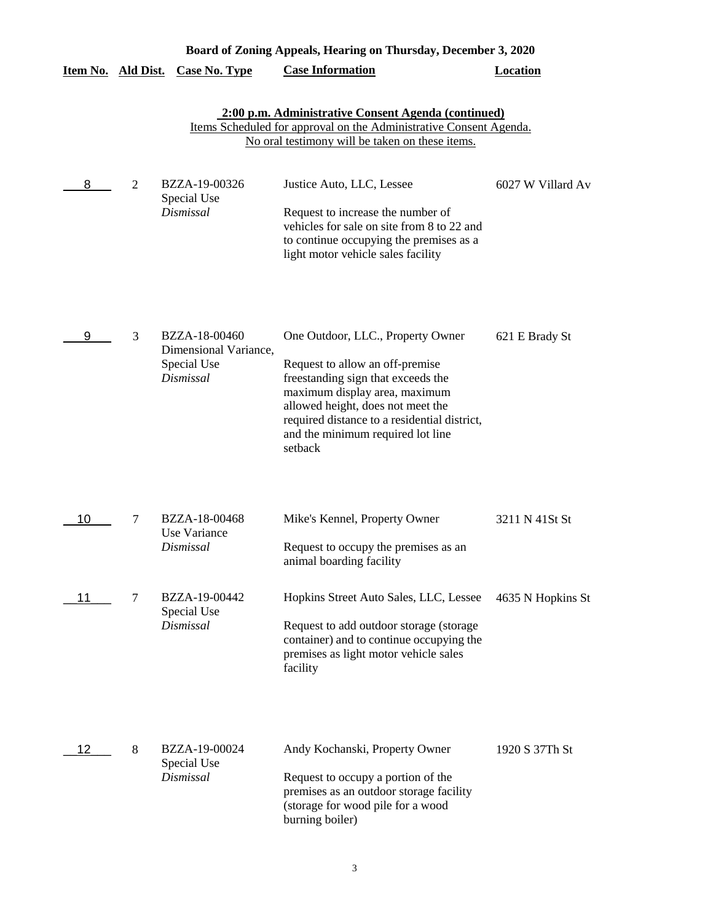|                           | Board of Zoning Appeals, Hearing on Thursday, December 3, 2020 |                                                                    |                                                                                                                                                                                                                                                                                  |                   |  |  |
|---------------------------|----------------------------------------------------------------|--------------------------------------------------------------------|----------------------------------------------------------------------------------------------------------------------------------------------------------------------------------------------------------------------------------------------------------------------------------|-------------------|--|--|
| <u>Item No. Ald Dist.</u> |                                                                | <b>Case No. Type</b>                                               | <b>Case Information</b>                                                                                                                                                                                                                                                          | <b>Location</b>   |  |  |
|                           |                                                                |                                                                    | 2:00 p.m. Administrative Consent Agenda (continued)<br>Items Scheduled for approval on the Administrative Consent Agenda.<br>No oral testimony will be taken on these items.                                                                                                     |                   |  |  |
| 8                         | 2                                                              | BZZA-19-00326<br>Special Use<br>Dismissal                          | Justice Auto, LLC, Lessee<br>Request to increase the number of<br>vehicles for sale on site from 8 to 22 and<br>to continue occupying the premises as a<br>light motor vehicle sales facility                                                                                    | 6027 W Villard Av |  |  |
| 9                         | 3                                                              | BZZA-18-00460<br>Dimensional Variance,<br>Special Use<br>Dismissal | One Outdoor, LLC., Property Owner<br>Request to allow an off-premise<br>freestanding sign that exceeds the<br>maximum display area, maximum<br>allowed height, does not meet the<br>required distance to a residential district,<br>and the minimum required lot line<br>setback | 621 E Brady St    |  |  |
| 10                        | 7                                                              | BZZA-18-00468<br>Use Variance<br>Dismissal                         | Mike's Kennel, Property Owner<br>Request to occupy the premises as an<br>animal boarding facility                                                                                                                                                                                | 3211 N 41St St    |  |  |
| 11                        | 7                                                              | BZZA-19-00442<br>Special Use<br>Dismissal                          | Hopkins Street Auto Sales, LLC, Lessee<br>Request to add outdoor storage (storage<br>container) and to continue occupying the<br>premises as light motor vehicle sales<br>facility                                                                                               | 4635 N Hopkins St |  |  |
| 12                        | 8                                                              | BZZA-19-00024<br>Special Use<br>Dismissal                          | Andy Kochanski, Property Owner<br>Request to occupy a portion of the<br>premises as an outdoor storage facility<br>(storage for wood pile for a wood<br>burning boiler)                                                                                                          | 1920 S 37Th St    |  |  |

### 3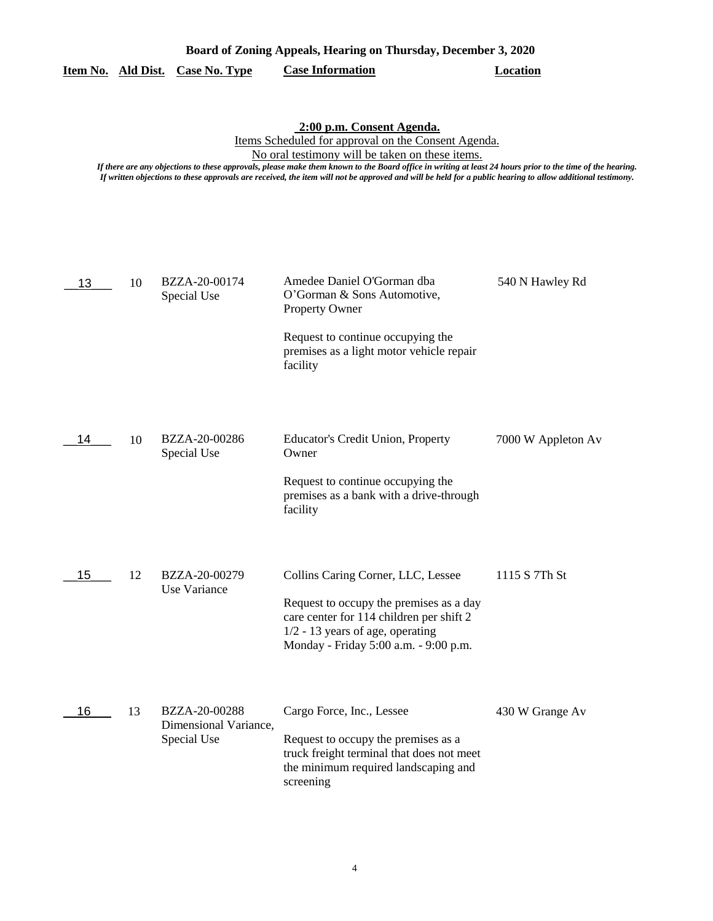|                                  | Board of Zoning Appeals, Hearing on Thursday, December 3, 2020 |          |  |
|----------------------------------|----------------------------------------------------------------|----------|--|
| Item No. Ald Dist. Case No. Type | <b>Case Information</b>                                        | Location |  |

#### **2:00 p.m. Consent Agenda.**

Items Scheduled for approval on the Consent Agenda.

No oral testimony will be taken on these items.

*If there are any objections to these approvals, please make them known to the Board office in writing at least 24 hours prior to the time of the hearing. If written objections to these approvals are received, the item will not be approved and will be held for a public hearing to allow additional testimony.*

| 13 | 10 | BZZA-20-00174<br>Special Use                          | Amedee Daniel O'Gorman dba<br>O'Gorman & Sons Automotive,<br>Property Owner                                                                                                                              | 540 N Hawley Rd    |
|----|----|-------------------------------------------------------|----------------------------------------------------------------------------------------------------------------------------------------------------------------------------------------------------------|--------------------|
|    |    |                                                       | Request to continue occupying the<br>premises as a light motor vehicle repair<br>facility                                                                                                                |                    |
| 14 | 10 | BZZA-20-00286<br>Special Use                          | <b>Educator's Credit Union, Property</b><br>Owner                                                                                                                                                        | 7000 W Appleton Av |
|    |    |                                                       | Request to continue occupying the<br>premises as a bank with a drive-through<br>facility                                                                                                                 |                    |
| 15 | 12 | BZZA-20-00279<br>Use Variance                         | Collins Caring Corner, LLC, Lessee<br>Request to occupy the premises as a day<br>care center for 114 children per shift 2<br>$1/2 - 13$ years of age, operating<br>Monday - Friday 5:00 a.m. - 9:00 p.m. | 1115 S 7Th St      |
| 16 | 13 | BZZA-20-00288<br>Dimensional Variance,<br>Special Use | Cargo Force, Inc., Lessee<br>Request to occupy the premises as a<br>truck freight terminal that does not meet<br>the minimum required landscaping and<br>screening                                       | 430 W Grange Av    |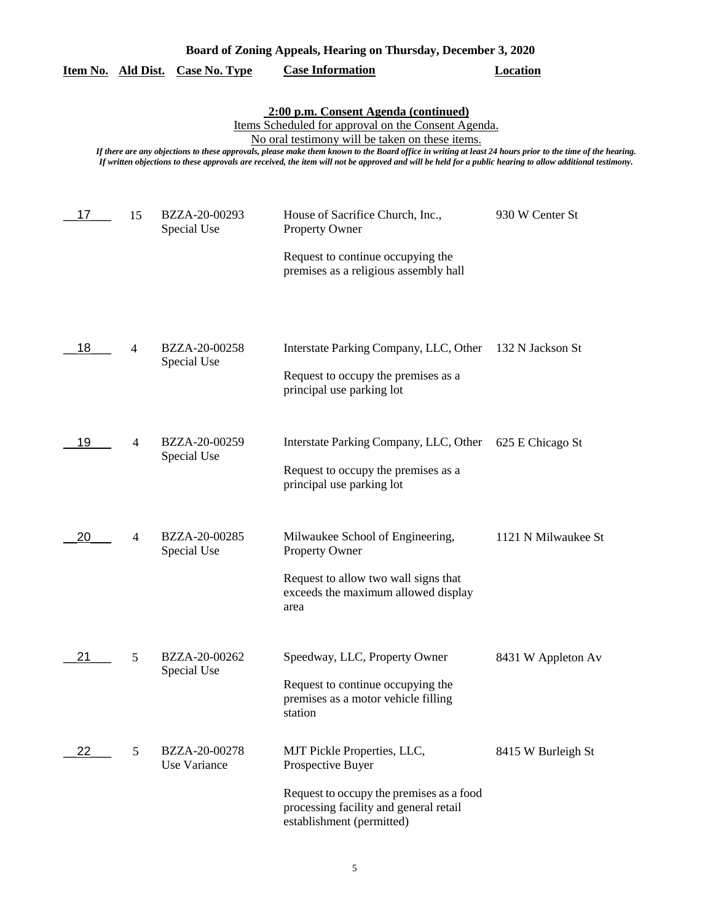|    |    |                               | 2:00 p.m. Consent Agenda (continued)<br>Items Scheduled for approval on the Consent Agenda.<br>No oral testimony will be taken on these items.<br>If there are any objections to these approvals, please make them known to the Board office in writing at least 24 hours prior to the time of the hearing.<br>If written objections to these approvals are received, the item will not be approved and will be held for a public hearing to allow additional testimony. |                     |
|----|----|-------------------------------|--------------------------------------------------------------------------------------------------------------------------------------------------------------------------------------------------------------------------------------------------------------------------------------------------------------------------------------------------------------------------------------------------------------------------------------------------------------------------|---------------------|
| 17 | 15 | BZZA-20-00293<br>Special Use  | House of Sacrifice Church, Inc.,<br><b>Property Owner</b>                                                                                                                                                                                                                                                                                                                                                                                                                | 930 W Center St     |
|    |    |                               | Request to continue occupying the<br>premises as a religious assembly hall                                                                                                                                                                                                                                                                                                                                                                                               |                     |
| 18 | 4  | BZZA-20-00258<br>Special Use  | Interstate Parking Company, LLC, Other 132 N Jackson St<br>Request to occupy the premises as a<br>principal use parking lot                                                                                                                                                                                                                                                                                                                                              |                     |
| 19 | 4  | BZZA-20-00259<br>Special Use  | Interstate Parking Company, LLC, Other<br>Request to occupy the premises as a<br>principal use parking lot                                                                                                                                                                                                                                                                                                                                                               | 625 E Chicago St    |
| 20 | 4  | BZZA-20-00285<br>Special Use  | Milwaukee School of Engineering,<br><b>Property Owner</b><br>Request to allow two wall signs that<br>exceeds the maximum allowed display<br>area                                                                                                                                                                                                                                                                                                                         | 1121 N Milwaukee St |
| 21 | 5  | BZZA-20-00262<br>Special Use  | Speedway, LLC, Property Owner<br>Request to continue occupying the<br>premises as a motor vehicle filling<br>station                                                                                                                                                                                                                                                                                                                                                     | 8431 W Appleton Av  |
| 22 | 5  | BZZA-20-00278<br>Use Variance | MJT Pickle Properties, LLC,<br>Prospective Buyer<br>Request to occupy the premises as a food<br>processing facility and general retail<br>establishment (permitted)                                                                                                                                                                                                                                                                                                      | 8415 W Burleigh St  |

## **Board of Zoning Appeals, Hearing on Thursday, December 3, 2020**

**Item No. Ald Dist. Case No. Type Case Information Location**

5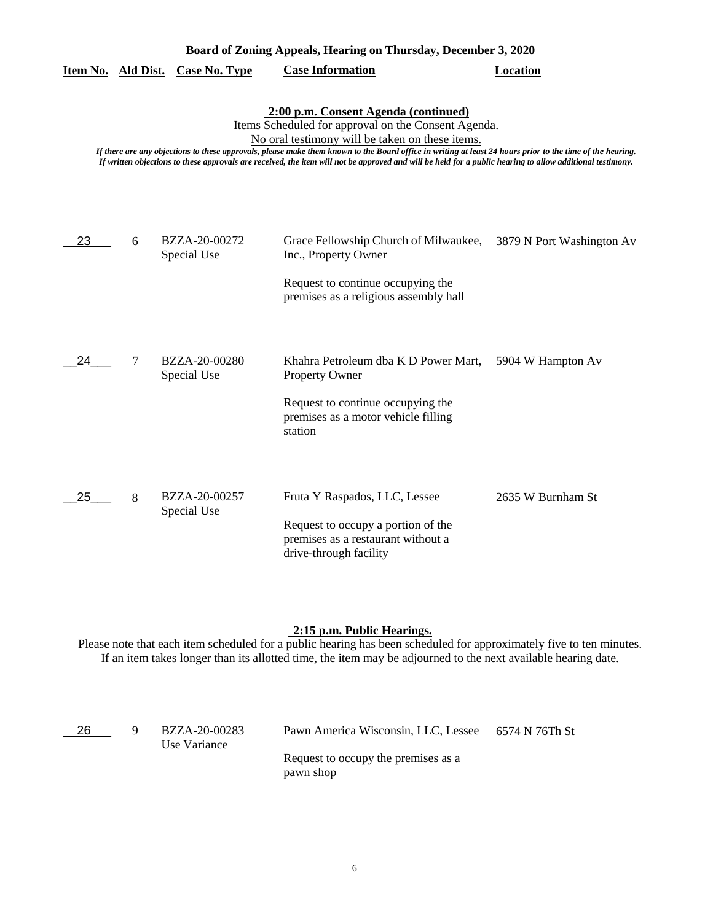| Board of Zoning Appeals, Hearing on Thursday, December 3, 2020 |                  |                              |                                                                                                                                                                                                                                                                                                                                                                                                                                                                          |                           |
|----------------------------------------------------------------|------------------|------------------------------|--------------------------------------------------------------------------------------------------------------------------------------------------------------------------------------------------------------------------------------------------------------------------------------------------------------------------------------------------------------------------------------------------------------------------------------------------------------------------|---------------------------|
| Item No.                                                       | <b>Ald Dist.</b> | <b>Case No. Type</b>         | <b>Case Information</b>                                                                                                                                                                                                                                                                                                                                                                                                                                                  | <b>Location</b>           |
|                                                                |                  |                              | 2:00 p.m. Consent Agenda (continued)<br>Items Scheduled for approval on the Consent Agenda.<br>No oral testimony will be taken on these items.<br>If there are any objections to these approvals, please make them known to the Board office in writing at least 24 hours prior to the time of the hearing.<br>If written objections to these approvals are received, the item will not be approved and will be held for a public hearing to allow additional testimony. |                           |
| 23                                                             | 6                | BZZA-20-00272<br>Special Use | Grace Fellowship Church of Milwaukee,<br>Inc., Property Owner<br>Request to continue occupying the<br>premises as a religious assembly hall                                                                                                                                                                                                                                                                                                                              | 3879 N Port Washington Av |
| 24                                                             | 7                | BZZA-20-00280<br>Special Use | Khahra Petroleum dba K D Power Mart,<br><b>Property Owner</b><br>Request to continue occupying the<br>premises as a motor vehicle filling<br>station                                                                                                                                                                                                                                                                                                                     | 5904 W Hampton Av         |
| 25                                                             | 8                | BZZA-20-00257<br>Special Use | Fruta Y Raspados, LLC, Lessee<br>Request to occupy a portion of the<br>premises as a restaurant without a<br>drive-through facility                                                                                                                                                                                                                                                                                                                                      | 2635 W Burnham St         |

#### **2:15 p.m. Public Hearings.**

| -26 | BZZA-20-00283<br>Use Variance | Pawn America Wisconsin, LLC, Lessee 6574 N 76Th St |  |
|-----|-------------------------------|----------------------------------------------------|--|
|     |                               | Request to occupy the premises as a<br>pawn shop   |  |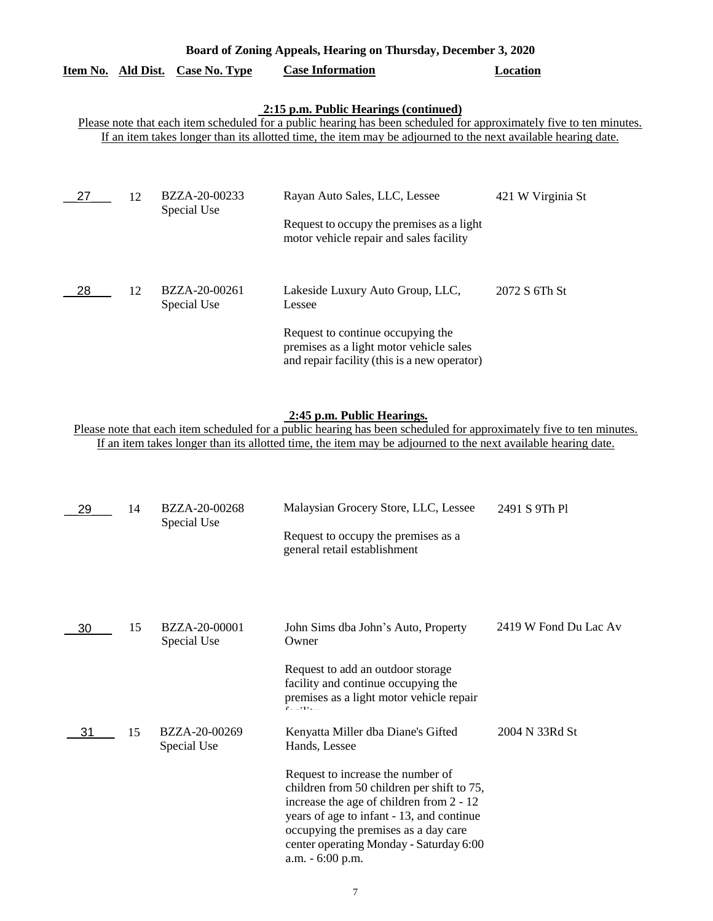| Board of Zoning Appeals, Hearing on Thursday, December 3, 2020 |           |                              |                                                                                                                                                                                                                                                                               |                   |
|----------------------------------------------------------------|-----------|------------------------------|-------------------------------------------------------------------------------------------------------------------------------------------------------------------------------------------------------------------------------------------------------------------------------|-------------------|
| Item No.                                                       | Ald Dist. | <b>Case No. Type</b>         | <b>Case Information</b>                                                                                                                                                                                                                                                       | Location          |
|                                                                |           |                              | 2:15 p.m. Public Hearings (continued)<br>Please note that each item scheduled for a public hearing has been scheduled for approximately five to ten minutes.<br>If an item takes longer than its allotted time, the item may be adjourned to the next available hearing date. |                   |
| 27                                                             | 12        | BZZA-20-00233<br>Special Use | Rayan Auto Sales, LLC, Lessee<br>Request to occupy the premises as a light<br>motor vehicle repair and sales facility                                                                                                                                                         | 421 W Virginia St |
| 28                                                             | 12        | BZZA-20-00261<br>Special Use | Lakeside Luxury Auto Group, LLC,<br>Lessee<br>Request to continue occupying the<br>premises as a light motor vehicle sales<br>and repair facility (this is a new operator)                                                                                                    | 2072 S 6Th St     |

### **2:45 p.m. Public Hearings.**

| 29 | 14 | BZZA-20-00268<br>Special Use | Malaysian Grocery Store, LLC, Lessee<br>Request to occupy the premises as a<br>general retail establishment                                                                               | 2491 S 9Th Pl         |
|----|----|------------------------------|-------------------------------------------------------------------------------------------------------------------------------------------------------------------------------------------|-----------------------|
| 30 | 15 | BZZA-20-00001<br>Special Use | John Sims dba John's Auto, Property<br>Owner<br>Request to add an outdoor storage<br>facility and continue occupying the<br>premises as a light motor vehicle repair                      | 2419 W Fond Du Lac Av |
| 31 | 15 | BZZA-20-00269                | Kenyatta Miller dba Diane's Gifted                                                                                                                                                        | 2004 N 33Rd St        |
|    |    | Special Use                  | Hands, Lessee<br>Request to increase the number of<br>children from 50 children per shift to 75,<br>increase the age of children from 2 - 12<br>years of age to infant - 13, and continue |                       |
|    |    |                              | occupying the premises as a day care<br>center operating Monday - Saturday 6:00<br>a.m. - 6:00 p.m.                                                                                       |                       |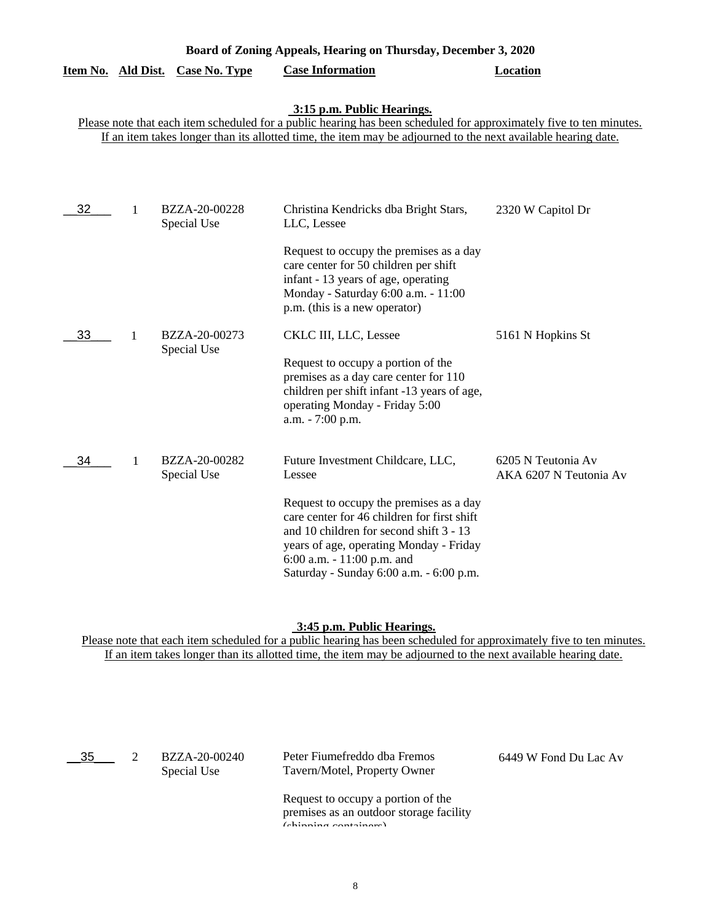| Board of Zoning Appeals, Hearing on Thursday, December 3, 2020 |   |                              |                                                                                                                                                                                                                                                                    |                                              |
|----------------------------------------------------------------|---|------------------------------|--------------------------------------------------------------------------------------------------------------------------------------------------------------------------------------------------------------------------------------------------------------------|----------------------------------------------|
| Item No. Ald Dist.                                             |   | <b>Case No. Type</b>         | <b>Case Information</b>                                                                                                                                                                                                                                            | <b>Location</b>                              |
|                                                                |   |                              | 3:15 p.m. Public Hearings.<br>Please note that each item scheduled for a public hearing has been scheduled for approximately five to ten minutes.<br>If an item takes longer than its allotted time, the item may be adjourned to the next available hearing date. |                                              |
| 32                                                             | 1 | BZZA-20-00228<br>Special Use | Christina Kendricks dba Bright Stars,<br>LLC, Lessee                                                                                                                                                                                                               | 2320 W Capitol Dr                            |
|                                                                |   |                              | Request to occupy the premises as a day<br>care center for 50 children per shift<br>infant - 13 years of age, operating<br>Monday - Saturday 6:00 a.m. - 11:00<br>p.m. (this is a new operator)                                                                    |                                              |
| 33                                                             | 1 | BZZA-20-00273<br>Special Use | CKLC III, LLC, Lessee<br>Request to occupy a portion of the                                                                                                                                                                                                        | 5161 N Hopkins St                            |
|                                                                |   |                              | premises as a day care center for 110<br>children per shift infant -13 years of age,<br>operating Monday - Friday 5:00<br>a.m. - 7:00 p.m.                                                                                                                         |                                              |
| 34                                                             | 1 | BZZA-20-00282<br>Special Use | Future Investment Childcare, LLC,<br>Lessee                                                                                                                                                                                                                        | 6205 N Teutonia Av<br>AKA 6207 N Teutonia Av |
|                                                                |   |                              | Request to occupy the premises as a day<br>care center for 46 children for first shift<br>and 10 children for second shift 3 - 13<br>years of age, operating Monday - Friday<br>6:00 a.m. - 11:00 p.m. and<br>Saturday - Sunday 6:00 a.m. - 6:00 p.m.              |                                              |

#### **3:45 p.m. Public Hearings.**

| 35 | BZZA-20-00240<br>Special Use | Peter Fiumefreddo dba Fremos<br>Tavern/Motel, Property Owner                             | 6449 W Fond Du Lac Av |
|----|------------------------------|------------------------------------------------------------------------------------------|-----------------------|
|    |                              | Request to occupy a portion of the<br>premises as an outdoor storage facility<br>(abimn) |                       |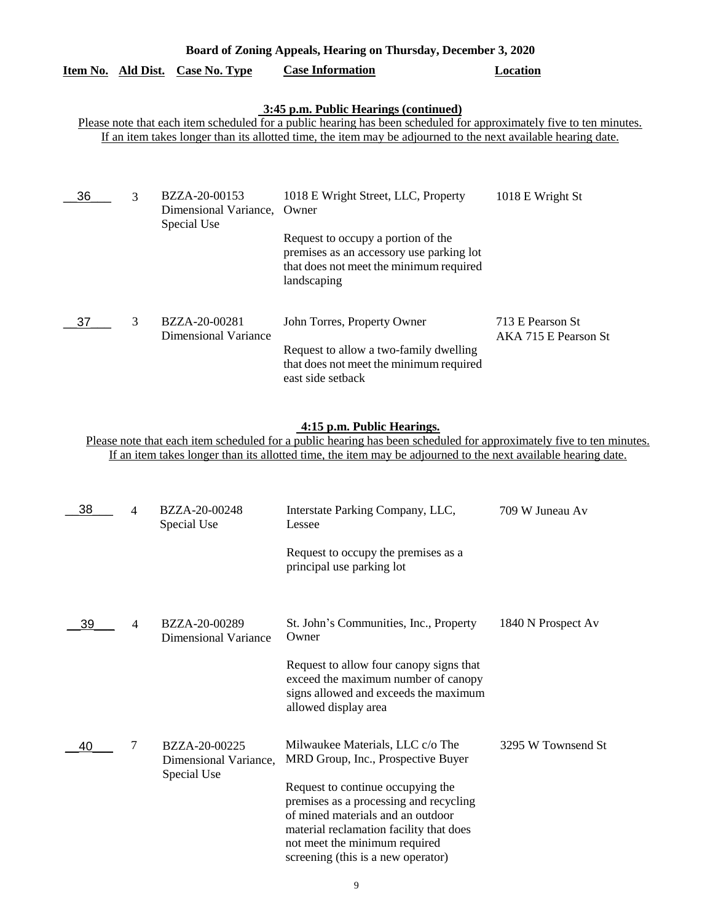| Board of Zoning Appeals, Hearing on Thursday, December 3, 2020                                                                                                                                                                                                                |   |                                                       |                                                                                                                                                                                          |                                          |  |
|-------------------------------------------------------------------------------------------------------------------------------------------------------------------------------------------------------------------------------------------------------------------------------|---|-------------------------------------------------------|------------------------------------------------------------------------------------------------------------------------------------------------------------------------------------------|------------------------------------------|--|
| Item No. Ald Dist.                                                                                                                                                                                                                                                            |   | <b>Case No. Type</b>                                  | <b>Case Information</b>                                                                                                                                                                  | <b>Location</b>                          |  |
| 3:45 p.m. Public Hearings (continued)<br>Please note that each item scheduled for a public hearing has been scheduled for approximately five to ten minutes.<br>If an item takes longer than its allotted time, the item may be adjourned to the next available hearing date. |   |                                                       |                                                                                                                                                                                          |                                          |  |
| 36                                                                                                                                                                                                                                                                            | 3 | BZZA-20-00153<br>Dimensional Variance,<br>Special Use | 1018 E Wright Street, LLC, Property<br>Owner<br>Request to occupy a portion of the<br>premises as an accessory use parking lot<br>that does not meet the minimum required<br>landscaping | 1018 E Wright St                         |  |
| 37                                                                                                                                                                                                                                                                            | 3 | BZZA-20-00281<br><b>Dimensional Variance</b>          | John Torres, Property Owner<br>Request to allow a two-family dwelling<br>that does not meet the minimum required<br>east side setback                                                    | 713 E Pearson St<br>AKA 715 E Pearson St |  |

## **4:15 p.m. Public Hearings.**

| 38 | 4              | BZZA-20-00248<br>Special Use                          | Interstate Parking Company, LLC,<br>Lessee                                                                                                                                                                                                                                                                   | 709 W Juneau Av    |
|----|----------------|-------------------------------------------------------|--------------------------------------------------------------------------------------------------------------------------------------------------------------------------------------------------------------------------------------------------------------------------------------------------------------|--------------------|
|    |                |                                                       | Request to occupy the premises as a<br>principal use parking lot                                                                                                                                                                                                                                             |                    |
| 39 | $\overline{4}$ | BZZA-20-00289<br>Dimensional Variance                 | St. John's Communities, Inc., Property<br>Owner                                                                                                                                                                                                                                                              | 1840 N Prospect Av |
|    |                |                                                       | Request to allow four canopy signs that<br>exceed the maximum number of canopy<br>signs allowed and exceeds the maximum<br>allowed display area                                                                                                                                                              |                    |
| 40 | 7              | BZZA-20-00225<br>Dimensional Variance,<br>Special Use | Milwaukee Materials, LLC c/o The<br>MRD Group, Inc., Prospective Buyer<br>Request to continue occupying the<br>premises as a processing and recycling<br>of mined materials and an outdoor<br>material reclamation facility that does<br>not meet the minimum required<br>screening (this is a new operator) | 3295 W Townsend St |